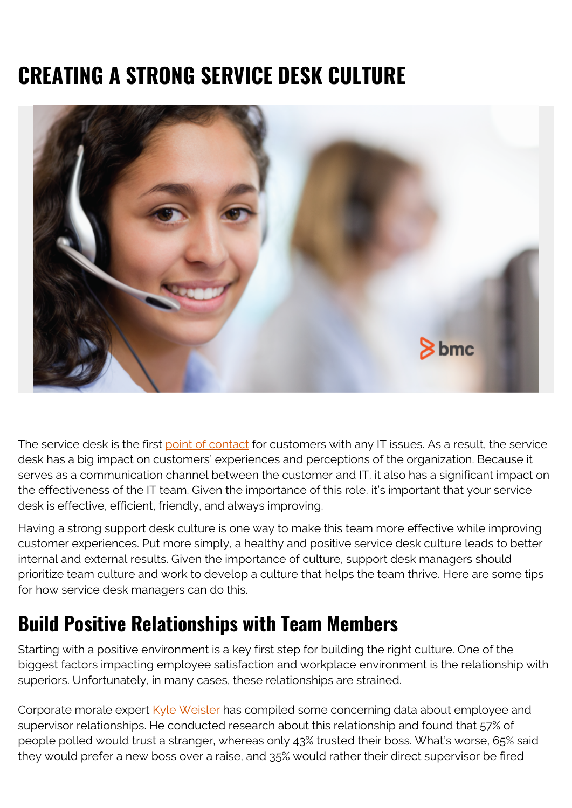# **CREATING A STRONG SERVICE DESK CULTURE**



The service desk is the first [point of contact](https://www.bmc.com/blogs/spoc-single-point-of-contact/) for customers with any IT issues. As a result, the service desk has a big impact on customers' experiences and perceptions of the organization. Because it serves as a communication channel between the customer and IT, it also has a significant impact on the effectiveness of the IT team. Given the importance of this role, it's important that your service desk is effective, efficient, friendly, and always improving.

Having a strong support desk culture is one way to make this team more effective while improving customer experiences. Put more simply, a healthy and positive service desk culture leads to better internal and external results. Given the importance of culture, support desk managers should prioritize team culture and work to develop a culture that helps the team thrive. Here are some tips for how service desk managers can do this.

#### **Build Positive Relationships with Team Members**

Starting with a positive environment is a key first step for building the right culture. One of the biggest factors impacting employee satisfaction and workplace environment is the relationship with superiors. Unfortunately, in many cases, these relationships are strained.

Corporate morale expert [Kyle Weisler](https://www.sunviewsoftware.com/blog/learn/blog/creating-cultural-change-around-help-desk) has compiled some concerning data about employee and supervisor relationships. He conducted research about this relationship and found that 57% of people polled would trust a stranger, whereas only 43% trusted their boss. What's worse, 65% said they would prefer a new boss over a raise, and 35% would rather their direct supervisor be fired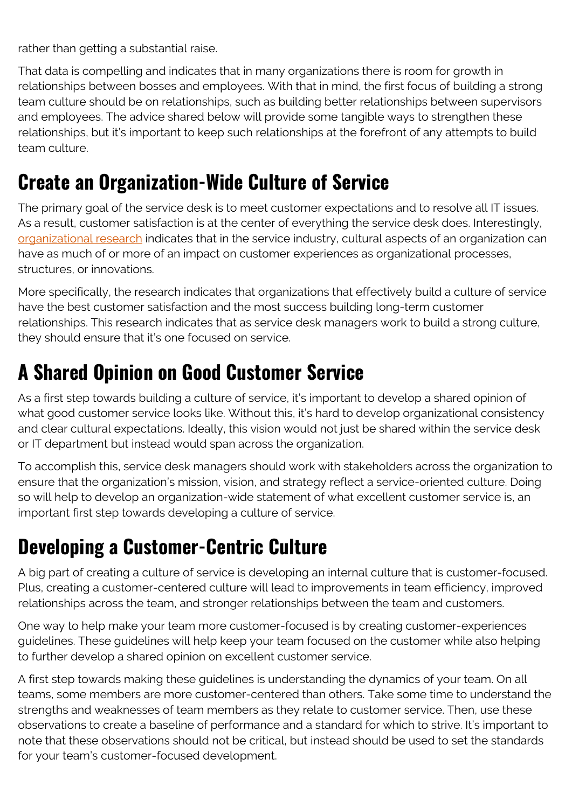rather than getting a substantial raise.

That data is compelling and indicates that in many organizations there is room for growth in relationships between bosses and employees. With that in mind, the first focus of building a strong team culture should be on relationships, such as building better relationships between supervisors and employees. The advice shared below will provide some tangible ways to strengthen these relationships, but it's important to keep such relationships at the forefront of any attempts to build team culture.

#### **Create an Organization-Wide Culture of Service**

The primary goal of the service desk is to meet customer expectations and to resolve all IT issues. As a result, customer satisfaction is at the center of everything the service desk does. Interestingly, [organizational research](https://library.educause.edu/-/media/files/library/2009/8/erb0917-pdf.pdf) indicates that in the service industry, cultural aspects of an organization can have as much of or more of an impact on customer experiences as organizational processes, structures, or innovations.

More specifically, the research indicates that organizations that effectively build a culture of service have the best customer satisfaction and the most success building long-term customer relationships. This research indicates that as service desk managers work to build a strong culture, they should ensure that it's one focused on service.

### **A Shared Opinion on Good Customer Service**

As a first step towards building a culture of service, it's important to develop a shared opinion of what good customer service looks like. Without this, it's hard to develop organizational consistency and clear cultural expectations. Ideally, this vision would not just be shared within the service desk or IT department but instead would span across the organization.

To accomplish this, service desk managers should work with stakeholders across the organization to ensure that the organization's mission, vision, and strategy reflect a service-oriented culture. Doing so will help to develop an organization-wide statement of what excellent customer service is, an important first step towards developing a culture of service.

#### **Developing a Customer-Centric Culture**

A big part of creating a culture of service is developing an internal culture that is customer-focused. Plus, creating a customer-centered culture will lead to improvements in team efficiency, improved relationships across the team, and stronger relationships between the team and customers.

One way to help make your team more customer-focused is by creating customer-experiences guidelines. These guidelines will help keep your team focused on the customer while also helping to further develop a shared opinion on excellent customer service.

A first step towards making these guidelines is understanding the dynamics of your team. On all teams, some members are more customer-centered than others. Take some time to understand the strengths and weaknesses of team members as they relate to customer service. Then, use these observations to create a baseline of performance and a standard for which to strive. It's important to note that these observations should not be critical, but instead should be used to set the standards for your team's customer-focused development.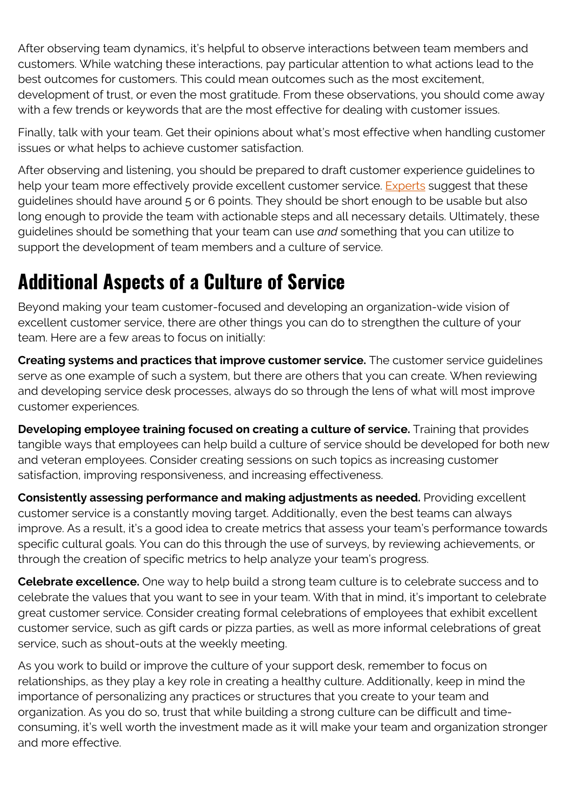After observing team dynamics, it's helpful to observe interactions between team members and customers. While watching these interactions, pay particular attention to what actions lead to the best outcomes for customers. This could mean outcomes such as the most excitement, development of trust, or even the most gratitude. From these observations, you should come away with a few trends or keywords that are the most effective for dealing with customer issues.

Finally, talk with your team. Get their opinions about what's most effective when handling customer issues or what helps to achieve customer satisfaction.

After observing and listening, you should be prepared to draft customer experience guidelines to help your team more effectively provide excellent customer service. [Experts](https://blog.topdesk.com/en/customer-focused-service-culture) suggest that these guidelines should have around 5 or 6 points. They should be short enough to be usable but also long enough to provide the team with actionable steps and all necessary details. Ultimately, these guidelines should be something that your team can use *and* something that you can utilize to support the development of team members and a culture of service.

### **Additional Aspects of a Culture of Service**

Beyond making your team customer-focused and developing an organization-wide vision of excellent customer service, there are other things you can do to strengthen the culture of your team. Here are a few areas to focus on initially:

**Creating systems and practices that improve customer service.** The customer service guidelines serve as one example of such a system, but there are others that you can create. When reviewing and developing service desk processes, always do so through the lens of what will most improve customer experiences.

**Developing employee training focused on creating a culture of service.** Training that provides tangible ways that employees can help build a culture of service should be developed for both new and veteran employees. Consider creating sessions on such topics as increasing customer satisfaction, improving responsiveness, and increasing effectiveness.

**Consistently assessing performance and making adjustments as needed.** Providing excellent customer service is a constantly moving target. Additionally, even the best teams can always improve. As a result, it's a good idea to create metrics that assess your team's performance towards specific cultural goals. You can do this through the use of surveys, by reviewing achievements, or through the creation of specific metrics to help analyze your team's progress.

**Celebrate excellence.** One way to help build a strong team culture is to celebrate success and to celebrate the values that you want to see in your team. With that in mind, it's important to celebrate great customer service. Consider creating formal celebrations of employees that exhibit excellent customer service, such as gift cards or pizza parties, as well as more informal celebrations of great service, such as shout-outs at the weekly meeting.

As you work to build or improve the culture of your support desk, remember to focus on relationships, as they play a key role in creating a healthy culture. Additionally, keep in mind the importance of personalizing any practices or structures that you create to your team and organization. As you do so, trust that while building a strong culture can be difficult and timeconsuming, it's well worth the investment made as it will make your team and organization stronger and more effective.